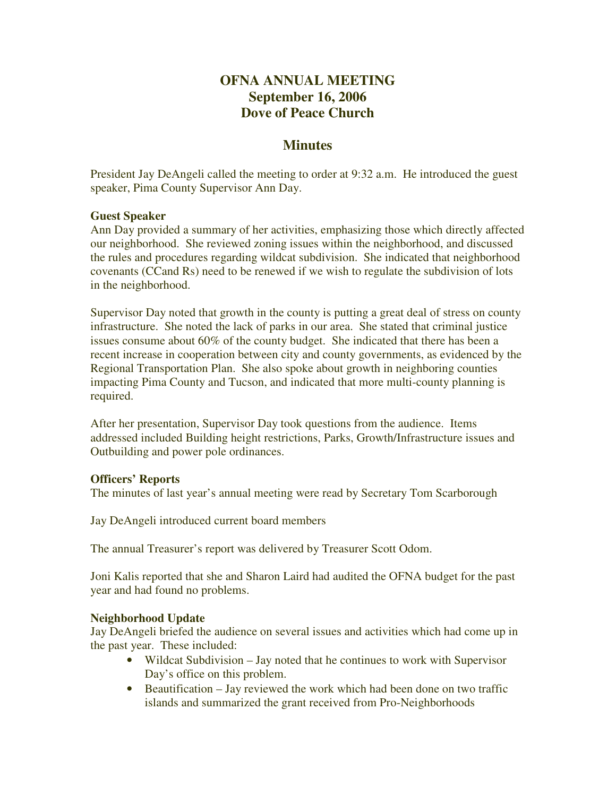# **OFNA ANNUAL MEETING September 16, 2006 Dove of Peace Church**

# **Minutes**

President Jay DeAngeli called the meeting to order at 9:32 a.m. He introduced the guest speaker, Pima County Supervisor Ann Day.

#### **Guest Speaker**

Ann Day provided a summary of her activities, emphasizing those which directly affected our neighborhood. She reviewed zoning issues within the neighborhood, and discussed the rules and procedures regarding wildcat subdivision. She indicated that neighborhood covenants (CCand Rs) need to be renewed if we wish to regulate the subdivision of lots in the neighborhood.

Supervisor Day noted that growth in the county is putting a great deal of stress on county infrastructure. She noted the lack of parks in our area. She stated that criminal justice issues consume about 60% of the county budget. She indicated that there has been a recent increase in cooperation between city and county governments, as evidenced by the Regional Transportation Plan. She also spoke about growth in neighboring counties impacting Pima County and Tucson, and indicated that more multi-county planning is required.

After her presentation, Supervisor Day took questions from the audience. Items addressed included Building height restrictions, Parks, Growth/Infrastructure issues and Outbuilding and power pole ordinances.

### **Officers' Reports**

The minutes of last year's annual meeting were read by Secretary Tom Scarborough

Jay DeAngeli introduced current board members

The annual Treasurer's report was delivered by Treasurer Scott Odom.

Joni Kalis reported that she and Sharon Laird had audited the OFNA budget for the past year and had found no problems.

### **Neighborhood Update**

Jay DeAngeli briefed the audience on several issues and activities which had come up in the past year. These included:

- Wildcat Subdivision Jay noted that he continues to work with Supervisor Day's office on this problem.
- Beautification Jay reviewed the work which had been done on two traffic islands and summarized the grant received from Pro-Neighborhoods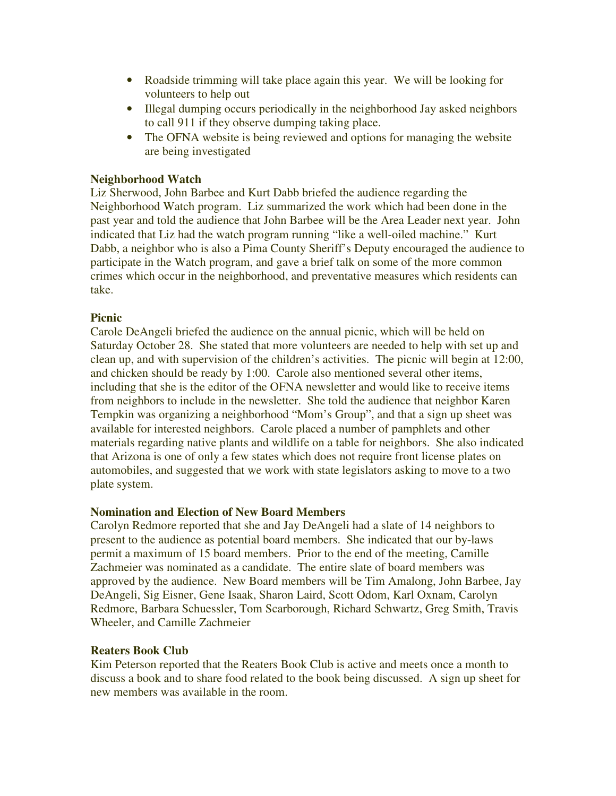- Roadside trimming will take place again this year. We will be looking for volunteers to help out
- Illegal dumping occurs periodically in the neighborhood Jay asked neighbors to call 911 if they observe dumping taking place.
- The OFNA website is being reviewed and options for managing the website are being investigated

#### **Neighborhood Watch**

Liz Sherwood, John Barbee and Kurt Dabb briefed the audience regarding the Neighborhood Watch program. Liz summarized the work which had been done in the past year and told the audience that John Barbee will be the Area Leader next year. John indicated that Liz had the watch program running "like a well-oiled machine." Kurt Dabb, a neighbor who is also a Pima County Sheriff's Deputy encouraged the audience to participate in the Watch program, and gave a brief talk on some of the more common crimes which occur in the neighborhood, and preventative measures which residents can take.

#### **Picnic**

Carole DeAngeli briefed the audience on the annual picnic, which will be held on Saturday October 28. She stated that more volunteers are needed to help with set up and clean up, and with supervision of the children's activities. The picnic will begin at 12:00, and chicken should be ready by 1:00. Carole also mentioned several other items, including that she is the editor of the OFNA newsletter and would like to receive items from neighbors to include in the newsletter. She told the audience that neighbor Karen Tempkin was organizing a neighborhood "Mom's Group", and that a sign up sheet was available for interested neighbors. Carole placed a number of pamphlets and other materials regarding native plants and wildlife on a table for neighbors. She also indicated that Arizona is one of only a few states which does not require front license plates on automobiles, and suggested that we work with state legislators asking to move to a two plate system.

#### **Nomination and Election of New Board Members**

Carolyn Redmore reported that she and Jay DeAngeli had a slate of 14 neighbors to present to the audience as potential board members. She indicated that our by-laws permit a maximum of 15 board members. Prior to the end of the meeting, Camille Zachmeier was nominated as a candidate. The entire slate of board members was approved by the audience. New Board members will be Tim Amalong, John Barbee, Jay DeAngeli, Sig Eisner, Gene Isaak, Sharon Laird, Scott Odom, Karl Oxnam, Carolyn Redmore, Barbara Schuessler, Tom Scarborough, Richard Schwartz, Greg Smith, Travis Wheeler, and Camille Zachmeier

#### **Reaters Book Club**

Kim Peterson reported that the Reaters Book Club is active and meets once a month to discuss a book and to share food related to the book being discussed. A sign up sheet for new members was available in the room.